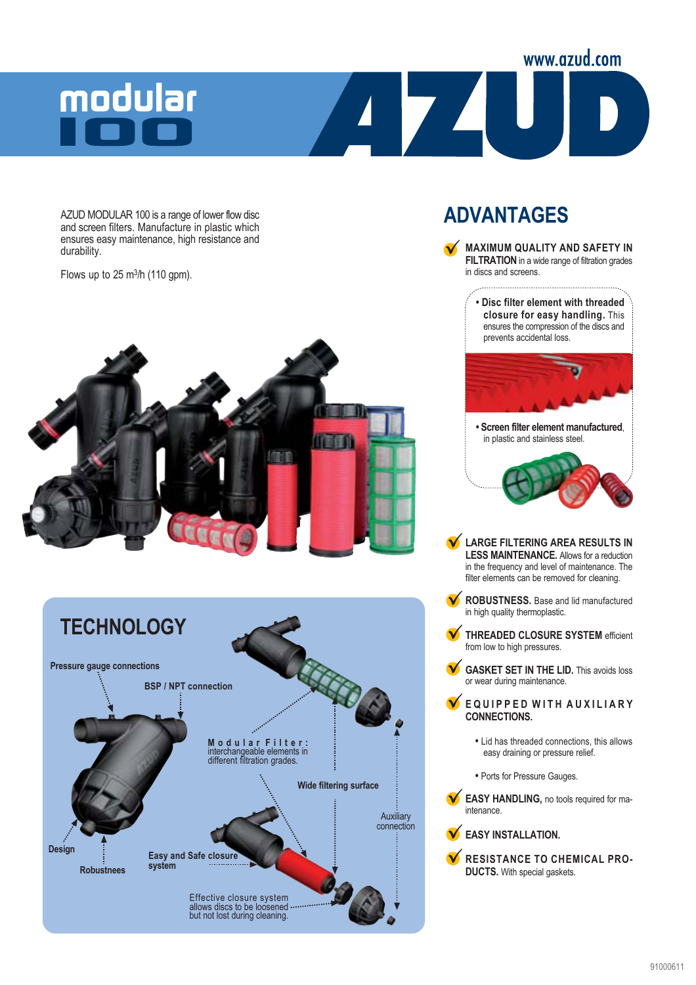# modular

AZUD MODULAR 100 is a range of lower flow disc and screen filters. Manufacture in plastic which ensures easy maintenance, high resistance and durability.

Flows up to  $25 \text{ m}^3\text{/h}$  (110 gpm).





### **ADVANTAGES**



www.azud.com

**ROBUSTNESS.** Base and lid manufactured in high quality thermoplastic.

- **THREADED CLOSURE SYSTEM** efficient from low to high pressures.
- **GASKET SET IN THE LID.** This avoids loss or wear during maintenance.

**EQUIPPED WITH AUXILIARY CONNECTIONS.**

- Lid has threaded connections, this allows easy draining or pressure relief.
- Ports for Pressure Gauges.

**EASY HANDLING,** no tools required for maintenance.



**RESISTANCE TO CHEMICAL PRO-DUCTS.** With special gaskets.